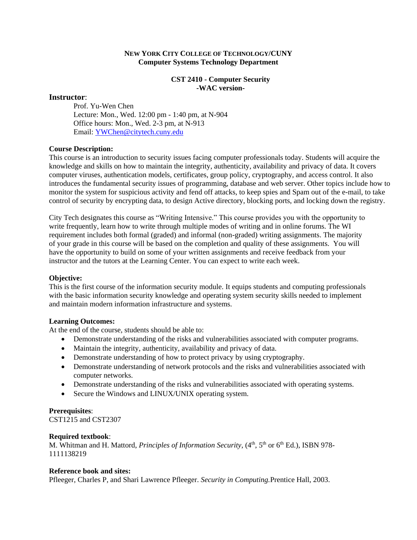### **NEW YORK CITY COLLEGE OF TECHNOLOGY/CUNY Computer Systems Technology Department**

### **CST 2410 - Computer Security -WAC version-**

### **Instructor**:

Prof. Yu-Wen Chen Lecture: Mon., Wed. 12:00 pm - 1:40 pm, at N-904 Office hours: Mon., Wed. 2-3 pm, at N-913 Email: [YWChen@citytech.cuny.edu](mailto:xli@citytech.cuny.edu) 

### **Course Description:**

This course is an introduction to security issues facing computer professionals today. Students will acquire the knowledge and skills on how to maintain the integrity, authenticity, availability and privacy of data. It covers computer viruses, authentication models, certificates, group policy, cryptography, and access control. It also introduces the fundamental security issues of programming, database and web server. Other topics include how to monitor the system for suspicious activity and fend off attacks, to keep spies and Spam out of the e-mail, to take control of security by encrypting data, to design Active directory, blocking ports, and locking down the registry.

City Tech designates this course as "Writing Intensive." This course provides you with the opportunity to write frequently, learn how to write through multiple modes of writing and in online forums. The WI requirement includes both formal (graded) and informal (non-graded) writing assignments. The majority of your grade in this course will be based on the completion and quality of these assignments. You will have the opportunity to build on some of your written assignments and receive feedback from your instructor and the tutors at the Learning Center. You can expect to write each week.

#### **Objective:**

This is the first course of the information security module. It equips students and computing professionals with the basic information security knowledge and operating system security skills needed to implement and maintain modern information infrastructure and systems.

#### **Learning Outcomes:**

At the end of the course, students should be able to:

- Demonstrate understanding of the risks and vulnerabilities associated with computer programs.
- Maintain the integrity, authenticity, availability and privacy of data.
- Demonstrate understanding of how to protect privacy by using cryptography.
- Demonstrate understanding of network protocols and the risks and vulnerabilities associated with computer networks.
- Demonstrate understanding of the risks and vulnerabilities associated with operating systems.
- Secure the Windows and LINUX/UNIX operating system.

## **Prerequisites**:

CST1215 and CST2307

#### **Required textbook**:

M. Whitman and H. Mattord, *Principles of Information Security*, (4<sup>th</sup>, 5<sup>th</sup> or 6<sup>th</sup> Ed.), ISBN 978-1111138219

#### **Reference book and sites:**

Pfleeger, Charles P, and Shari Lawrence Pfleeger. *Security in Computing.*Prentice Hall, 2003.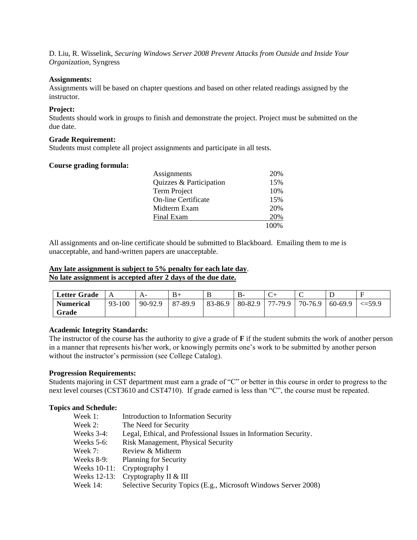D. Liu, R. Wisselink, *Securing Windows Server 2008 Prevent Attacks from Outside and Inside Your Organization*, Syngress

### **Assignments:**

Assignments will be based on chapter questions and based on other related readings assigned by the instructor.

### **Project:**

Students should work in groups to finish and demonstrate the project. Project must be submitted on the due date.

### **Grade Requirement:**

Students must complete all project assignments and participate in all tests.

### **Course grading formula:**

| Assignments                | 20%   |
|----------------------------|-------|
| Quizzes & Participation    | 15%   |
| Term Project               | 10%   |
| <b>On-line Certificate</b> | 15%   |
| Midterm Exam               | 20%   |
| Final Exam                 | 20%   |
|                            | 100\% |

All assignments and on-line certificate should be submitted to Blackboard. Emailing them to me is unacceptable, and hand-written papers are unacceptable.

### **Any late assignment is subject to 5% penalty for each late day**. **No late assignment is accepted after 2 days of the due date.**

| <b>Letter Grade</b> |        |         |         | ≖             |           |            |         |         |             |
|---------------------|--------|---------|---------|---------------|-----------|------------|---------|---------|-------------|
| <b>Numerical</b>    | 93-100 | 90-92.9 | 87-89.9 | $ 83 - 86.9 $ | $80-82.9$ | $177-79.9$ | 70-76.9 | 60-69.9 | $\leq 59.9$ |
| Grade               |        |         |         |               |           |            |         |         |             |

### **Academic Integrity Standards:**

The instructor of the course has the authority to give a grade of **F** if the student submits the work of another person in a manner that represents his/her work, or knowingly permits one's work to be submitted by another person without the instructor's permission (see College Catalog).

#### **Progression Requirements:**

Students majoring in CST department must earn a grade of "C" or better in this course in order to progress to the next level courses (CST3610 and CST4710). If grade earned is less than "C", the course must be repeated.

#### **Topics and Schedule:**

| Week 1:       | Introduction to Information Security                             |
|---------------|------------------------------------------------------------------|
| Week 2:       | The Need for Security                                            |
| Weeks $3-4$ : | Legal, Ethical, and Professional Issues in Information Security. |
| Weeks $5-6$ : | <b>Risk Management, Physical Security</b>                        |
| Week 7:       | Review & Midterm                                                 |
| Weeks $8-9$ : | <b>Planning for Security</b>                                     |
| Weeks 10-11:  | Cryptography I                                                   |
| Weeks 12-13:  | Cryptography II & III                                            |
| Week 14:      | Selective Security Topics (E.g., Microsoft Windows Server 2008)  |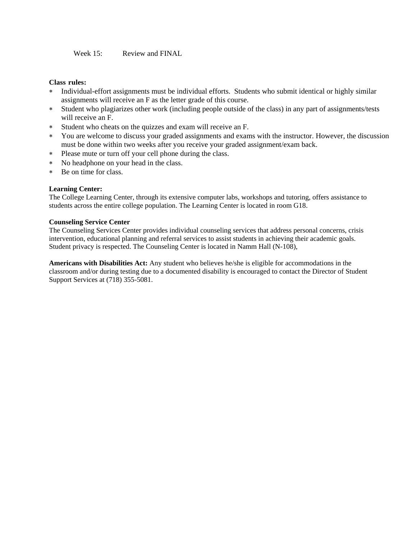Week 15: Review and FINAL

### **Class rules:**

- Individual-effort assignments must be individual efforts. Students who submit identical or highly similar assignments will receive an F as the letter grade of this course.
- Student who plagiarizes other work (including people outside of the class) in any part of assignments/tests will receive an F.
- Student who cheats on the quizzes and exam will receive an F.
- You are welcome to discuss your graded assignments and exams with the instructor. However, the discussion must be done within two weeks after you receive your graded assignment/exam back.
- Please mute or turn off your cell phone during the class.
- No headphone on your head in the class.
- Be on time for class.

### **Learning Center:**

The College Learning Center, through its extensive computer labs, workshops and tutoring, offers assistance to students across the entire college population. The Learning Center is located in room G18.

### **Counseling Service Center**

The Counseling Services Center provides individual counseling services that address personal concerns, crisis intervention, educational planning and referral services to assist students in achieving their academic goals. Student privacy is respected. The Counseling Center is located in Namm Hall (N-108),

**Americans with Disabilities Act:** Any student who believes he/she is eligible for accommodations in the classroom and/or during testing due to a documented disability is encouraged to contact the Director of Student Support Services at (718) 355-5081.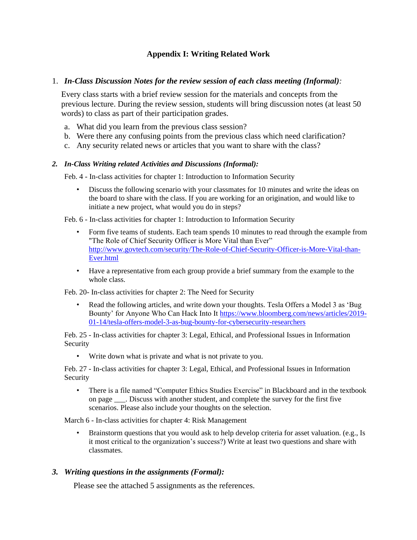# **Appendix I: Writing Related Work**

### 1. *In-Class Discussion Notes for the review session of each class meeting (Informal):*

Every class starts with a brief review session for the materials and concepts from the previous lecture. During the review session, students will bring discussion notes (at least 50 words) to class as part of their participation grades.

- a. What did you learn from the previous class session?
- b. Were there any confusing points from the previous class which need clarification?
- c. Any security related news or articles that you want to share with the class?

### *2. In-Class Writing related Activities and Discussions (Informal):*

Feb. 4 - In-class activities for chapter 1: Introduction to Information Security

• Discuss the following scenario with your classmates for 10 minutes and write the ideas on the board to share with the class. If you are working for an origination, and would like to initiate a new project, what would you do in steps?

Feb. 6 - In-class activities for chapter 1: Introduction to Information Security

- Form five teams of students. Each team spends 10 minutes to read through the example from "The Role of Chief Security Officer is More Vital than Ever" [http://www.govtech.com/security/The-Role-of-Chief-Security-Officer-is-More-Vital-than-](http://www.govtech.com/security/The-Role-of-Chief-Security-Officer-is-More-Vital-than-Ever.html)[Ever.html](http://www.govtech.com/security/The-Role-of-Chief-Security-Officer-is-More-Vital-than-Ever.html)
- Have a representative from each group provide a brief summary from the example to the whole class.

Feb. 20- In-class activities for chapter 2: The Need for Security

• Read the following articles, and write down your thoughts. Tesla Offers a Model 3 as 'Bug Bounty' for Anyone Who Can Hack Into It [https://www.bloomberg.com/news/articles/2019-](https://www.bloomberg.com/news/articles/2019-01-14/tesla-offers-model-3-as-bug-bounty-for-cybersecurity-researchers) [01-14/tesla-offers-model-3-as-bug-bounty-for-cybersecurity-researchers](https://www.bloomberg.com/news/articles/2019-01-14/tesla-offers-model-3-as-bug-bounty-for-cybersecurity-researchers)

Feb. 25 - In-class activities for chapter 3: Legal, Ethical, and Professional Issues in Information Security

• Write down what is private and what is not private to you.

Feb. 27 - In-class activities for chapter 3: Legal, Ethical, and Professional Issues in Information Security

• There is a file named "Computer Ethics Studies Exercise" in Blackboard and in the textbook on page . Discuss with another student, and complete the survey for the first five scenarios. Please also include your thoughts on the selection.

March 6 - In-class activities for chapter 4: Risk Management

• Brainstorm questions that you would ask to help develop criteria for asset valuation. (e.g., Is it most critical to the organization's success?) Write at least two questions and share with classmates.

## *3. Writing questions in the assignments (Formal):*

Please see the attached 5 assignments as the references.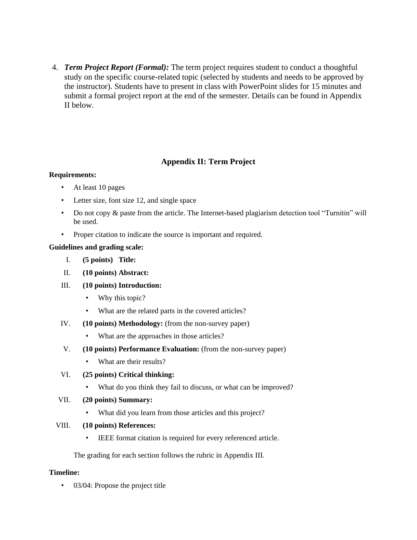4. *Term Project Report (Formal):* The term project requires student to conduct a thoughtful study on the specific course-related topic (selected by students and needs to be approved by the instructor). Students have to present in class with PowerPoint slides for 15 minutes and submit a formal project report at the end of the semester. Details can be found in Appendix II below.

## **Appendix II: Term Project**

### **Requirements:**

- At least 10 pages
- Letter size, font size 12, and single space
- Do not copy & paste from the article. The Internet-based plagiarism detection tool "Turnitin" will be used.
- Proper citation to indicate the source is important and required.

### **Guidelines and grading scale:**

- I. **(5 points) Title:**
- II. **(10 points) Abstract:**
- III. **(10 points) Introduction:** 
	- Why this topic?
	- What are the related parts in the covered articles?
- IV. **(10 points) Methodology:** (from the non-survey paper)
	- What are the approaches in those articles?
- V. **(10 points) Performance Evaluation:** (from the non-survey paper)
	- What are their results?
- VI. **(25 points) Critical thinking:** 
	- What do you think they fail to discuss, or what can be improved?
- VII. **(20 points) Summary:**
	- What did you learn from those articles and this project?
- VIII. **(10 points) References:** 
	- IEEE format citation is required for every referenced article.

The grading for each section follows the rubric in Appendix III.

### **Timeline:**

• 03/04: Propose the project title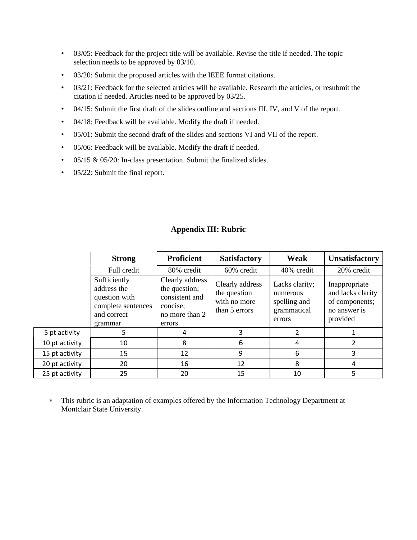- 03/05: Feedback for the project title will be available. Revise the title if needed. The topic selection needs to be approved by 03/10.
- 03/20: Submit the proposed articles with the IEEE format citations.
- 03/21: Feedback for the selected articles will be available. Research the articles, or resubmit the citation if needed. Articles need to be approved by 03/25.
- 04/15: Submit the first draft of the slides outline and sections III, IV, and V of the report.
- 04/18: Feedback will be available. Modify the draft if needed.
- 05/01: Submit the second draft of the slides and sections VI and VII of the report.
- 05/06: Feedback will be available. Modify the draft if needed.
- 05/15 & 05/20: In-class presentation. Submit the finalized slides.
- 05/22: Submit the final report.

|                | <b>Strong</b>                                                                                | <b>Proficient</b>                                                                          | <b>Satisfactory</b>                                              | Weak                                                                | <b>Unsatisfactory</b>                                                            |
|----------------|----------------------------------------------------------------------------------------------|--------------------------------------------------------------------------------------------|------------------------------------------------------------------|---------------------------------------------------------------------|----------------------------------------------------------------------------------|
|                | Full credit                                                                                  | 80% credit                                                                                 | 60% credit                                                       | 40% credit                                                          | 20% credit                                                                       |
|                | Sufficiently<br>address the<br>question with<br>complete sentences<br>and correct<br>grammar | Clearly address<br>the question;<br>consistent and<br>concise;<br>no more than 2<br>errors | Clearly address<br>the question<br>with no more<br>than 5 errors | Lacks clarity;<br>numerous<br>spelling and<br>grammatical<br>errors | Inappropriate<br>and lacks clarity<br>of components;<br>no answer is<br>provided |
| 5 pt activity  | 5                                                                                            | 4                                                                                          | 3                                                                | $\mathfrak z$                                                       |                                                                                  |
| 10 pt activity | 10                                                                                           | 8                                                                                          | 6                                                                | 4                                                                   |                                                                                  |
| 15 pt activity | 15                                                                                           | 12                                                                                         | 9                                                                | 6                                                                   | 3                                                                                |
| 20 pt activity | 20                                                                                           | 16                                                                                         | 12                                                               | 8                                                                   | 4                                                                                |
| 25 pt activity | 25                                                                                           | 20                                                                                         | 15                                                               | 10                                                                  | 5                                                                                |

## **Appendix III: Rubric**

 This rubric is an adaptation of examples offered by the Information Technology Department at Montclair State University.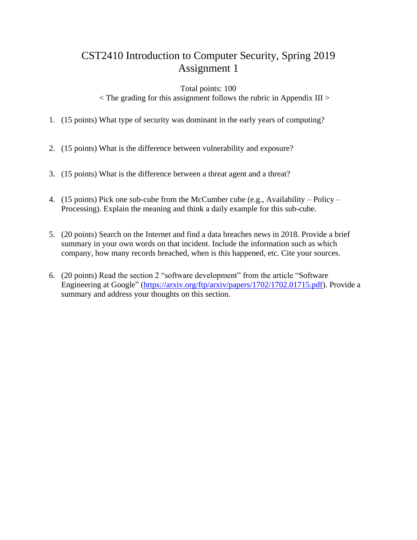### Total points: 100

 $\langle$  The grading for this assignment follows the rubric in Appendix III  $>$ 

- 1. (15 points) What type of security was dominant in the early years of computing?
- 2. (15 points) What is the difference between vulnerability and exposure?
- 3. (15 points) What is the difference between a threat agent and a threat?
- 4. (15 points) Pick one sub-cube from the McCumber cube (e.g., Availability Policy Processing). Explain the meaning and think a daily example for this sub-cube.
- 5. (20 points) Search on the Internet and find a data breaches news in 2018. Provide a brief summary in your own words on that incident. Include the information such as which company, how many records breached, when is this happened, etc. Cite your sources.
- 6. (20 points) Read the section 2 "software development" from the article "Software Engineering at Google" [\(https://arxiv.org/ftp/arxiv/papers/1702/1702.01715.pdf\)](https://arxiv.org/ftp/arxiv/papers/1702/1702.01715.pdf). Provide a summary and address your thoughts on this section.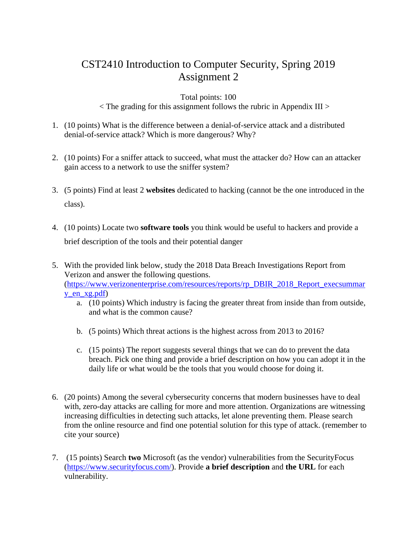# Total points: 100

 $\langle$  The grading for this assignment follows the rubric in Appendix III  $>$ 

- 1. (10 points) What is the difference between a denial-of-service attack and a distributed denial-of-service attack? Which is more dangerous? Why?
- 2. (10 points) For a sniffer attack to succeed, what must the attacker do? How can an attacker gain access to a network to use the sniffer system?
- 3. (5 points) Find at least 2 **websites** dedicated to hacking (cannot be the one introduced in the class).
- 4. (10 points) Locate two **software tools** you think would be useful to hackers and provide a brief description of the tools and their potential danger
- 5. With the provided link below, study the 2018 Data Breach Investigations Report from Verizon and answer the following questions. [\(https://www.verizonenterprise.com/resources/reports/rp\\_DBIR\\_2018\\_Report\\_execsummar](https://www.verizonenterprise.com/resources/reports/rp_DBIR_2018_Report_execsummary_en_xg.pdf) [y\\_en\\_xg.pdf\)](https://www.verizonenterprise.com/resources/reports/rp_DBIR_2018_Report_execsummary_en_xg.pdf)
	- a. (10 points) Which industry is facing the greater threat from inside than from outside, and what is the common cause?
	- b. (5 points) Which threat actions is the highest across from 2013 to 2016?
	- c. (15 points) The report suggests several things that we can do to prevent the data breach. Pick one thing and provide a brief description on how you can adopt it in the daily life or what would be the tools that you would choose for doing it.
- 6. (20 points) Among the several cybersecurity concerns that modern businesses have to deal with, zero-day attacks are calling for more and more attention. Organizations are witnessing increasing difficulties in detecting such attacks, let alone preventing them. Please search from the online resource and find one potential solution for this type of attack. (remember to cite your source)
- 7. (15 points) Search **two** Microsoft (as the vendor) vulnerabilities from the SecurityFocus [\(https://www.securityfocus.com/\)](https://www.securityfocus.com/). Provide **a brief description** and **the URL** for each vulnerability.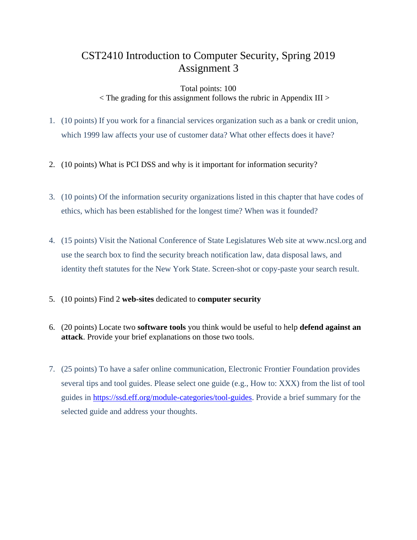### Total points: 100

< The grading for this assignment follows the rubric in Appendix III >

- 1. (10 points) If you work for a financial services organization such as a bank or credit union, which 1999 law affects your use of customer data? What other effects does it have?
- 2. (10 points) What is PCI DSS and why is it important for information security?
- 3. (10 points) Of the information security organizations listed in this chapter that have codes of ethics, which has been established for the longest time? When was it founded?
- 4. (15 points) Visit the National Conference of State Legislatures Web site at [www.ncsl.org](http://www.ncsl.org/) and use the search box to find the security breach notification law, data disposal laws, and identity theft statutes for the New York State. Screen-shot or copy-paste your search result.
- 5. (10 points) Find 2 **web-sites** dedicated to **computer security**
- 6. (20 points) Locate two **software tools** you think would be useful to help **defend against an attack**. Provide your brief explanations on those two tools.
- 7. (25 points) To have a safer online communication, Electronic Frontier Foundation provides several tips and tool guides. Please select one guide (e.g., How to: XXX) from the list of tool guides in [https://ssd.eff.org/module-categories/tool-guides.](https://ssd.eff.org/module-categories/tool-guides) Provide a brief summary for the selected guide and address your thoughts.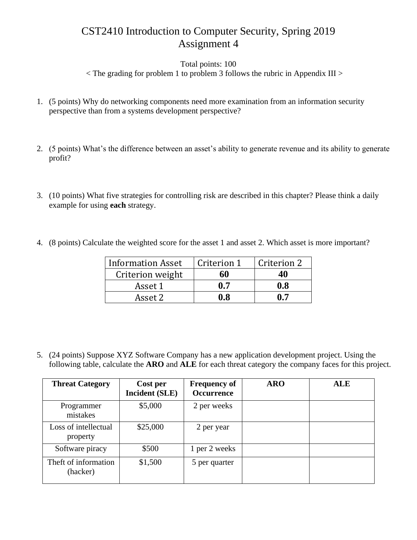Total points: 100

 $\langle$  The grading for problem 1 to problem 3 follows the rubric in Appendix III  $>$ 

- 1. (5 points) Why do networking components need more examination from an information security perspective than from a systems development perspective?
- 2. (5 points) What's the difference between an asset's ability to generate revenue and its ability to generate profit?
- 3. (10 points) What five strategies for controlling risk are described in this chapter? Please think a daily example for using **each** strategy.
- 4. (8 points) Calculate the weighted score for the asset 1 and asset 2. Which asset is more important?

| <b>Information Asset</b> | Criterion 1 | Criterion 2 |
|--------------------------|-------------|-------------|
| Criterion weight         | 60          | 40          |
| Asset 1                  | 0.7         | 0.8         |
| Asset 2                  | 0.8         | 0.7         |

5. (24 points) Suppose XYZ Software Company has a new application development project. Using the following table, calculate the **ARO** and **ALE** for each threat category the company faces for this project.

| <b>Threat Category</b>           | Cost per<br><b>Incident (SLE)</b> | <b>Frequency of</b><br><b>Occurrence</b> | <b>ARO</b> | <b>ALE</b> |
|----------------------------------|-----------------------------------|------------------------------------------|------------|------------|
| Programmer<br>mistakes           | \$5,000                           | 2 per weeks                              |            |            |
| Loss of intellectual<br>property | \$25,000                          | 2 per year                               |            |            |
| Software piracy                  | \$500                             | 1 per 2 weeks                            |            |            |
| Theft of information<br>(hacker) | \$1,500                           | 5 per quarter                            |            |            |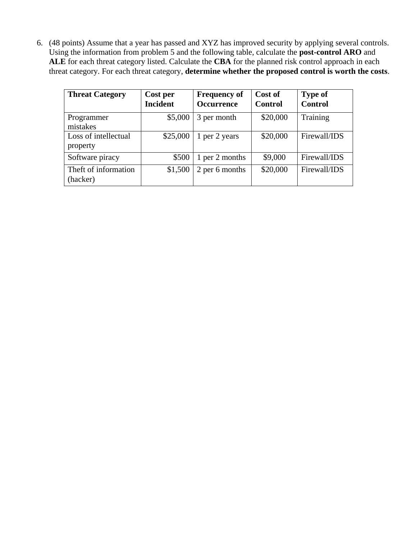6. (48 points) Assume that a year has passed and XYZ has improved security by applying several controls. Using the information from problem 5 and the following table, calculate the **post-control ARO** and **ALE** for each threat category listed. Calculate the **CBA** for the planned risk control approach in each threat category. For each threat category, **determine whether the proposed control is worth the costs**.

| <b>Threat Category</b>           | Cost per<br><b>Incident</b> | <b>Frequency of</b><br>Occurrence | Cost of<br><b>Control</b> | <b>Type of</b><br><b>Control</b> |
|----------------------------------|-----------------------------|-----------------------------------|---------------------------|----------------------------------|
| Programmer<br>mistakes           | \$5,000                     | 3 per month                       | \$20,000                  | Training                         |
| Loss of intellectual<br>property | \$25,000                    | 1 per 2 years                     | \$20,000                  | Firewall/IDS                     |
| Software piracy                  | \$500                       | 1 per 2 months                    | \$9,000                   | Firewall/IDS                     |
| Theft of information<br>(hacker) | \$1,500                     | 2 per 6 months                    | \$20,000                  | Firewall/IDS                     |